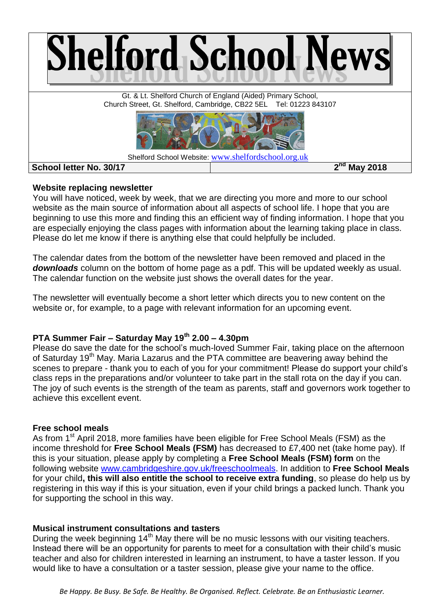

# **Website replacing newsletter**

You will have noticed, week by week, that we are directing you more and more to our school website as the main source of information about all aspects of school life. I hope that you are beginning to use this more and finding this an efficient way of finding information. I hope that you are especially enjoying the class pages with information about the learning taking place in class. Please do let me know if there is anything else that could helpfully be included.

The calendar dates from the bottom of the newsletter have been removed and placed in the *downloads* column on the bottom of home page as a pdf. This will be updated weekly as usual. The calendar function on the website just shows the overall dates for the year.

The newsletter will eventually become a short letter which directs you to new content on the website or, for example, to a page with relevant information for an upcoming event.

# **PTA Summer Fair – Saturday May 19th 2.00 – 4.30pm**

Please do save the date for the school's much-loved Summer Fair, taking place on the afternoon of Saturday 19<sup>th</sup> May. Maria Lazarus and the PTA committee are beavering away behind the scenes to prepare - thank you to each of you for your commitment! Please do support your child's class reps in the preparations and/or volunteer to take part in the stall rota on the day if you can. The joy of such events is the strength of the team as parents, staff and governors work together to achieve this excellent event.

# **Free school meals**

As from 1<sup>st</sup> April 2018, more families have been eligible for Free School Meals (FSM) as the income threshold for **Free School Meals (FSM)** has decreased to £7,400 net (take home pay). If this is your situation, please apply by completing a **Free School Meals (FSM) form** on the following website [www.cambridgeshire.gov.uk/freeschoolmeals.](http://www.cambridgeshire.gov.uk/freeschoolmeals) In addition to **Free School Meals**  for your child**, this will also entitle the school to receive extra funding**, so please do help us by registering in this way if this is your situation, even if your child brings a packed lunch. Thank you for supporting the school in this way.

# **Musical instrument consultations and tasters**

During the week beginning  $14<sup>th</sup>$  May there will be no music lessons with our visiting teachers. Instead there will be an opportunity for parents to meet for a consultation with their child's music teacher and also for children interested in learning an instrument, to have a taster lesson. If you would like to have a consultation or a taster session, please give your name to the office.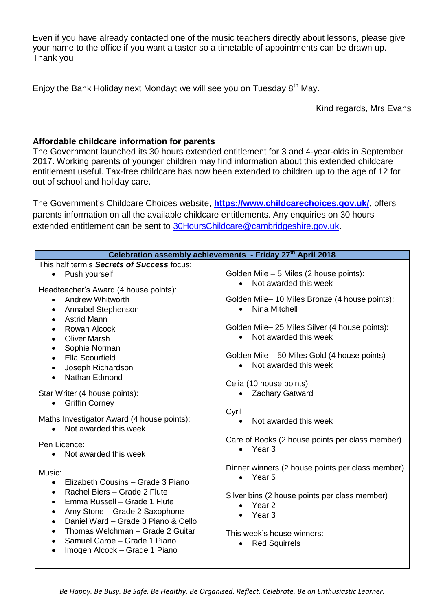Even if you have already contacted one of the music teachers directly about lessons, please give your name to the office if you want a taster so a timetable of appointments can be drawn up. Thank you

Enjoy the Bank Holiday next Monday; we will see you on Tuesday  $8<sup>th</sup>$  May.

Kind regards, Mrs Evans

# **Affordable childcare information for parents**

The Government launched its 30 hours extended entitlement for 3 and 4-year-olds in September 2017. Working parents of younger children may find information about this extended childcare entitlement useful. Tax-free childcare has now been extended to children up to the age of 12 for out of school and holiday care.

The Government's Childcare Choices website, **[https://www.childcarechoices.gov.uk/](http://r20.rs6.net/tn.jsp?f=001_I0kNjQe7oI_oiJcZBDjW0Q9bqWxP9kYOWV5X-vy2slfkQI5N3v0u_kPunapTREu9dYSlbNsUIAYBpW3igLc3D9p9CepyXi26W7PpCsrBr5dcPzMiiKnmxs_rooxDHYseEEG1ps4MINgfXb5I5wHcb1Z9nedD-iG0C_rtHUe6whZAFXXEtGNS9ZL-ynwAvI3&c=I_Ni75-cIOD1FB3_TfLNgLys5Xc4tz0o7o67QfbJq8ZFV7c2fHdaJQ==&ch=m0y01WoF2N4V090skAvl4ATMY_xbg87eRDPm29KImI2P9uPK8cYIaA==)**, offers parents information on all the available childcare entitlements. Any enquiries on 30 hours extended entitlement can be sent to [30HoursChildcare@cambridgeshire.gov.uk.](http://r20.rs6.net/tn.jsp?f=001_I0kNjQe7oI_oiJcZBDjW0Q9bqWxP9kYOWV5X-vy2slfkQI5N3v0u_kPunapTREusOQT6ZM2lx0dQ6B6pV1jYKCd0N05hAGkfBuZWpA_10FiofdsSZBbSBxsR4KzpQIAfAIJsJ0qtpK46FPedP7nMUwx6Yp7RqyPfIgjFmRj1Dn31P2-57ESuvTfzkRMtHyN2sI2v7-EAic=&c=I_Ni75-cIOD1FB3_TfLNgLys5Xc4tz0o7o67QfbJq8ZFV7c2fHdaJQ==&ch=m0y01WoF2N4V090skAvl4ATMY_xbg87eRDPm29KImI2P9uPK8cYIaA==)

| Celebration assembly achievements - Friday 27 <sup>th</sup> April 2018                                                                                                                                                                                                                                                                                                              |                                                                                                                                                                                                                                      |
|-------------------------------------------------------------------------------------------------------------------------------------------------------------------------------------------------------------------------------------------------------------------------------------------------------------------------------------------------------------------------------------|--------------------------------------------------------------------------------------------------------------------------------------------------------------------------------------------------------------------------------------|
| This half term's Secrets of Success focus:                                                                                                                                                                                                                                                                                                                                          |                                                                                                                                                                                                                                      |
| Push yourself<br>$\bullet$<br>Headteacher's Award (4 house points):                                                                                                                                                                                                                                                                                                                 | Golden Mile - 5 Miles (2 house points):<br>Not awarded this week<br>$\bullet$                                                                                                                                                        |
| <b>Andrew Whitworth</b><br>$\bullet$<br>Annabel Stephenson<br>$\bullet$<br><b>Astrid Mann</b><br>$\bullet$<br>Rowan Alcock<br>$\bullet$<br><b>Oliver Marsh</b><br>$\bullet$<br>Sophie Norman<br>$\bullet$<br>Ella Scourfield<br>$\bullet$<br>Joseph Richardson<br>$\bullet$<br>Nathan Edmond                                                                                        | Golden Mile-10 Miles Bronze (4 house points):<br>Nina Mitchell<br>$\bullet$<br>Golden Mile-25 Miles Silver (4 house points):<br>• Not awarded this week<br>Golden Mile – 50 Miles Gold (4 house points)<br>Not awarded this week     |
| Star Writer (4 house points):<br><b>Griffin Corney</b><br>$\bullet$<br>Maths Investigator Award (4 house points):<br>Not awarded this week<br>Pen Licence:<br>Not awarded this week                                                                                                                                                                                                 | Celia (10 house points)<br>Zachary Gatward<br>Cyril<br>Not awarded this week<br>$\bullet$<br>Care of Books (2 house points per class member)<br>Year 3<br>$\bullet$                                                                  |
| Music:<br>Elizabeth Cousins - Grade 3 Piano<br>$\bullet$<br>Rachel Biers - Grade 2 Flute<br>$\bullet$<br>Emma Russell - Grade 1 Flute<br>$\bullet$<br>Amy Stone - Grade 2 Saxophone<br>$\bullet$<br>Daniel Ward - Grade 3 Piano & Cello<br>$\bullet$<br>Thomas Welchman - Grade 2 Guitar<br>$\bullet$<br>Samuel Caroe - Grade 1 Piano<br>Imogen Alcock - Grade 1 Piano<br>$\bullet$ | Dinner winners (2 house points per class member)<br>$\bullet$ Year 5<br>Silver bins (2 house points per class member)<br>Year <sub>2</sub><br>$\bullet$<br>Year 3<br>This week's house winners:<br><b>Red Squirrels</b><br>$\bullet$ |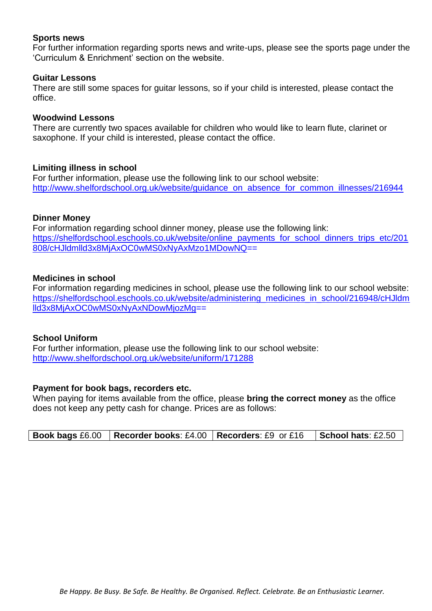# **Sports news**

For further information regarding sports news and write-ups, please see the sports page under the 'Curriculum & Enrichment' section on the website.

#### **Guitar Lessons**

There are still some spaces for guitar lessons, so if your child is interested, please contact the office.

#### **Woodwind Lessons**

There are currently two spaces available for children who would like to learn flute, clarinet or saxophone. If your child is interested, please contact the office.

#### **Limiting illness in school**

For further information, please use the following link to our school website: [http://www.shelfordschool.org.uk/website/guidance\\_on\\_absence\\_for\\_common\\_illnesses/216944](http://www.shelfordschool.org.uk/website/guidance_on_absence_for_common_illnesses/216944)

#### **Dinner Money**

For information regarding school dinner money, please use the following link: [https://shelfordschool.eschools.co.uk/website/online\\_payments\\_for\\_school\\_dinners\\_trips\\_etc/201](https://shelfordschool.eschools.co.uk/website/online_payments_for_school_dinners_trips_etc/201808/cHJldmlld3x8MjAxOC0wMS0xNyAxMzo1MDowNQ) [808/cHJldmlld3x8MjAxOC0wMS0xNyAxMzo1MDowNQ=](https://shelfordschool.eschools.co.uk/website/online_payments_for_school_dinners_trips_etc/201808/cHJldmlld3x8MjAxOC0wMS0xNyAxMzo1MDowNQ)=

#### **Medicines in school**

For information regarding medicines in school, please use the following link to our school website: [https://shelfordschool.eschools.co.uk/website/administering\\_medicines\\_in\\_school/216948/cHJldm](https://shelfordschool.eschools.co.uk/website/administering_medicines_in_school/216948/cHJldmlld3x8MjAxOC0wMS0xNyAxNDowMjozMg) [lld3x8MjAxOC0wMS0xNyAxNDowMjozMg=](https://shelfordschool.eschools.co.uk/website/administering_medicines_in_school/216948/cHJldmlld3x8MjAxOC0wMS0xNyAxNDowMjozMg)=

# **School Uniform**

For further information, please use the following link to our school website: <http://www.shelfordschool.org.uk/website/uniform/171288>

# **Payment for book bags, recorders etc.**

When paying for items available from the office, please **bring the correct money** as the office does not keep any petty cash for change. Prices are as follows: